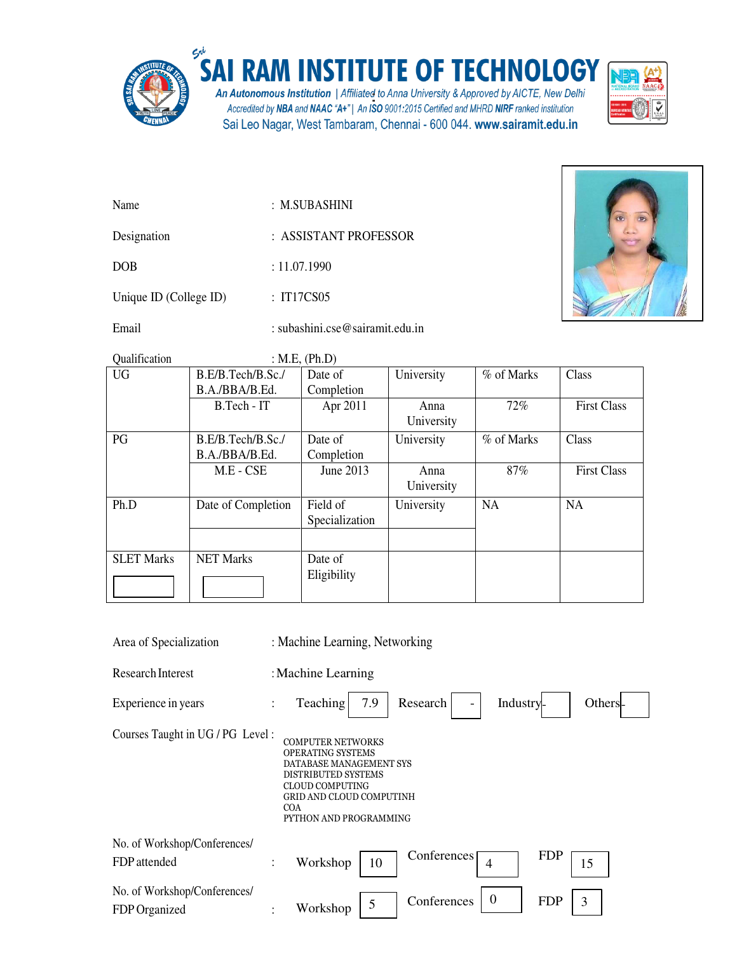

## SAI RAM INSTITUTE OF TECHNOLOGY

An Autonomous Institution | Affiliated to Anna University & Approved by AICTE, New Delhi<br>Accredited by NBA and NAAC "A+" | An ISO 9001:2015 Certified and MHRD NIRF ranked institution Sai Leo Nagar, West Tambaram, Chennai - 600 044. www.sairamit.edu.in



| Name | : M.SUBASHINI |
|------|---------------|
|      |               |
|      |               |

Designation :ASSISTANT PROFESSOR

DOB : 11.07.1990

Unique ID (College ID) : IT17CS05

Email : subashini.cse@sairamit.edu.in



Qualification : M.E, (Ph.D)

| <b>UG</b>         | B.E/B.Tech/B.Sc./  | Date of        | University | % of Marks | Class              |
|-------------------|--------------------|----------------|------------|------------|--------------------|
|                   | B.A./BBA/B.Ed.     | Completion     |            |            |                    |
|                   | B.Tech - IT        | Apr 2011       | Anna       | 72%        | <b>First Class</b> |
|                   |                    |                | University |            |                    |
| PG                | B.E/B.Tech/B.Sc./  | Date of        | University | % of Marks | Class              |
|                   | B.A./BBA/B.Ed.     | Completion     |            |            |                    |
|                   | M.E - CSE          | June 2013      | Anna       | 87%        | <b>First Class</b> |
|                   |                    |                | University |            |                    |
| Ph.D              | Date of Completion | Field of       | University | NA         | NA                 |
|                   |                    | Specialization |            |            |                    |
|                   |                    |                |            |            |                    |
| <b>SLET Marks</b> | <b>NET Marks</b>   | Date of        |            |            |                    |
|                   |                    | Eligibility    |            |            |                    |

| Area of Specialization                                                                                                                                                                                                                                 | : Machine Learning, Networking                                           |  |  |  |  |
|--------------------------------------------------------------------------------------------------------------------------------------------------------------------------------------------------------------------------------------------------------|--------------------------------------------------------------------------|--|--|--|--|
| Research Interest                                                                                                                                                                                                                                      | : Machine Learning                                                       |  |  |  |  |
| Experience in years                                                                                                                                                                                                                                    | Teaching<br>7.9<br>Research<br>Industry-<br>Others-<br>$\ddot{\cdot}$    |  |  |  |  |
| Courses Taught in UG / PG Level:<br><b>COMPUTER NETWORKS</b><br><b>OPERATING SYSTEMS</b><br>DATABASE MANAGEMENT SYS<br><b>DISTRIBUTED SYSTEMS</b><br><b>CLOUD COMPUTING</b><br><b>GRID AND CLOUD COMPUTINH</b><br><b>COA</b><br>PYTHON AND PROGRAMMING |                                                                          |  |  |  |  |
| No. of Workshop/Conferences/<br>FDP attended                                                                                                                                                                                                           | <b>FDP</b><br>Conferences<br>Workshop<br>10<br>15<br>$\ddot{\cdot}$<br>4 |  |  |  |  |
| No. of Workshop/Conferences/<br>FDP Organized                                                                                                                                                                                                          | $\Omega$<br>Conferences<br>3<br><b>FDP</b><br>5<br>Workshop              |  |  |  |  |